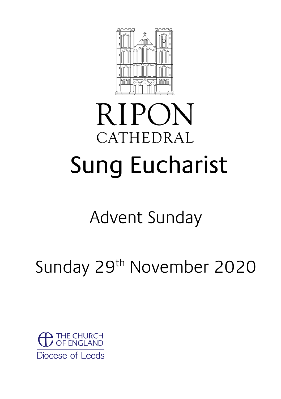

# **RIPON** CATHEDRAL Sung Eucharist

# Advent Sunday

# Sunday 29<sup>th</sup> November 2020

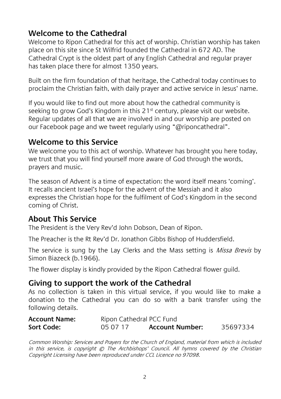#### **Welcome to the Cathedral**

Welcome to Ripon Cathedral for this act of worship. Christian worship has taken place on this site since St Wilfrid founded the Cathedral in 672 AD. The Cathedral Crypt is the oldest part of any English Cathedral and regular prayer has taken place there for almost 1350 years.

Built on the firm foundation of that heritage, the Cathedral today continues to proclaim the Christian faith, with daily prayer and active service in Jesus' name.

If you would like to find out more about how the cathedral community is seeking to grow God's Kingdom in this  $21<sup>st</sup>$  century, please visit our website. Regular updates of all that we are involved in and our worship are posted on our Facebook page and we tweet regularly using "@riponcathedral".

#### **Welcome to this Service**

We welcome you to this act of worship. Whatever has brought you here today, we trust that you will find yourself more aware of God through the words, prayers and music.

The season of Advent is a time of expectation: the word itself means 'coming'. It recalls ancient Israel's hope for the advent of the Messiah and it also expresses the Christian hope for the fulfilment of God's Kingdom in the second coming of Christ.

#### **About This Service**

The President is the Very Rev'd John Dobson, Dean of Ripon.

The Preacher is the Rt Rev'd Dr. Jonathon Gibbs Bishop of Huddersfield.

The service is sung by the Lay Clerks and the Mass setting is Missa Brevis by Simon Biazeck (b.1966).

The flower display is kindly provided by the Ripon Cathedral flower guild.

#### **Giving to support the work of the Cathedral**

As no collection is taken in this virtual service, if you would like to make a donation to the Cathedral you can do so with a bank transfer using the following details.

| <b>Account Name:</b> | Ripon Cathedral PCC Fund |                        |          |
|----------------------|--------------------------|------------------------|----------|
| Sort Code:           | 05 07 17                 | <b>Account Number:</b> | 35697334 |

Common Worship: Services and Prayers for the Church of England, material from which is included in this service, is copyright © The Archbishops' Council. All hymns covered by the Christian Copyright Licensing have been reproduced under CCL Licence no 97098.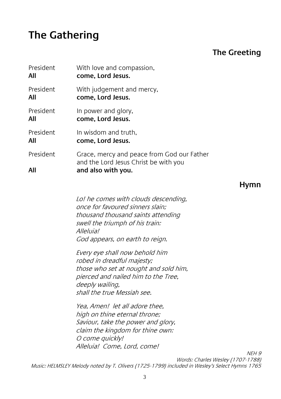### **The Gathering**

#### **The Greeting**

| President | With love and compassion,                                                           |
|-----------|-------------------------------------------------------------------------------------|
| All       | come, Lord Jesus.                                                                   |
| President | With judgement and mercy,                                                           |
| All       | come, Lord Jesus.                                                                   |
| President | In power and glory,                                                                 |
| All       | come, Lord Jesus.                                                                   |
| President | In wisdom and truth.                                                                |
| All       | come, Lord Jesus.                                                                   |
| President | Grace, mercy and peace from God our Father<br>and the Lord Jesus Christ be with you |
| All       | and also with you.                                                                  |

**Hymn**

Lo! he comes with clouds descending, once for favoured sinners slain; thousand thousand saints attending swell the triumph of his train: Alleluia! God appears, on earth to reign.

Every eye shall now behold him robed in dreadful majesty; those who set at nought and sold him, pierced and nailed him to the Tree, deeply wailing, shall the true Messiah see.

Yea, Amen! let all adore thee, high on thine eternal throne; Saviour, take the power and glory, claim the kingdom for thine own: O come quickly! Alleluia! Come, Lord, come!

NEH 9 Words: Charles Wesley (1707-1788) Music: HELMSLEY Melody noted by T. Olivers (1725-1799) included in Wesley's Select Hymns 1765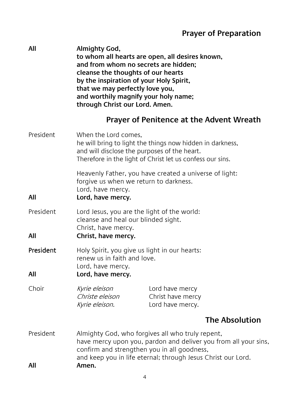#### **Prayer of Preparation**

**All Almighty God, to whom all hearts are open, all desires known, and from whom no secrets are hidden; cleanse the thoughts of our hearts by the inspiration of your Holy Spirit, that we may perfectly love you, and worthily magnify your holy name; through Christ our Lord. Amen.**

#### **Prayer of Penitence at the Advent Wreath**

| President        | When the Lord comes,<br>he will bring to light the things now hidden in darkness,<br>and will disclose the purposes of the heart.<br>Therefore in the light of Christ let us confess our sins.                                              |                                                          |                       |
|------------------|---------------------------------------------------------------------------------------------------------------------------------------------------------------------------------------------------------------------------------------------|----------------------------------------------------------|-----------------------|
| All              | Heavenly Father, you have created a universe of light:<br>forgive us when we return to darkness.<br>Lord, have mercy.<br>Lord, have mercy.                                                                                                  |                                                          |                       |
| President<br>All | Lord Jesus, you are the light of the world:<br>cleanse and heal our blinded sight.<br>Christ, have mercy.<br>Christ, have mercy.                                                                                                            |                                                          |                       |
| President<br>All | Holy Spirit, you give us light in our hearts:<br>renew us in faith and love.<br>Lord, have mercy.<br>Lord, have mercy.                                                                                                                      |                                                          |                       |
| Choir            | Kyrie eleison<br>Christe eleison<br>Kyrie eleison.                                                                                                                                                                                          | Lord have mercy<br>Christ have mercy<br>Lord have mercy. |                       |
|                  |                                                                                                                                                                                                                                             |                                                          | <b>The Absolution</b> |
| President<br>All | Almighty God, who forgives all who truly repent,<br>have mercy upon you, pardon and deliver you from all your sins,<br>confirm and strengthen you in all goodness,<br>and keep you in life eternal; through Jesus Christ our Lord.<br>Amen. |                                                          |                       |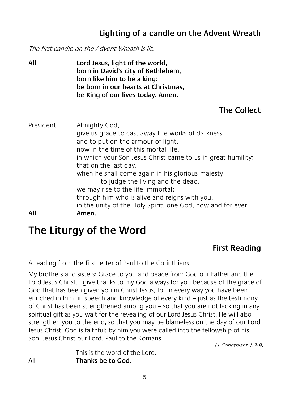#### **Lighting of a candle on the Advent Wreath**

The first candle on the Advent Wreath is lit.

**All Lord Jesus, light of the world, born in David's city of Bethlehem, born like him to be a king: be born in our hearts at Christmas, be King of our lives today. Amen.**

#### **The Collect**

| President | Almighty God,<br>give us grace to cast away the works of darkness<br>and to put on the armour of light,<br>now in the time of this mortal life,<br>in which your Son Jesus Christ came to us in great humility;<br>that on the last day,            |
|-----------|-----------------------------------------------------------------------------------------------------------------------------------------------------------------------------------------------------------------------------------------------------|
| All       | when he shall come again in his glorious majesty<br>to judge the living and the dead,<br>we may rise to the life immortal;<br>through him who is alive and reigns with you,<br>in the unity of the Holy Spirit, one God, now and for ever.<br>Amen. |

## **The Liturgy of the Word**

#### **First Reading**

A reading from the first letter of Paul to the Corinthians.

My brothers and sisters: Grace to you and peace from God our Father and the Lord Jesus Christ. I give thanks to my God always for you because of the grace of God that has been given you in Christ Jesus, for in every way you have been enriched in him, in speech and knowledge of every kind – just as the testimony of Christ has been strengthened among you – so that you are not lacking in any spiritual gift as you wait for the revealing of our Lord Jesus Christ. He will also strengthen you to the end, so that you may be blameless on the day of our Lord Jesus Christ. God is faithful; by him you were called into the fellowship of his Son, Jesus Christ our Lord. Paul to the Romans. (1 Corinthians 1.3-9)

This is the word of the Lord. All **Thanks be to God.**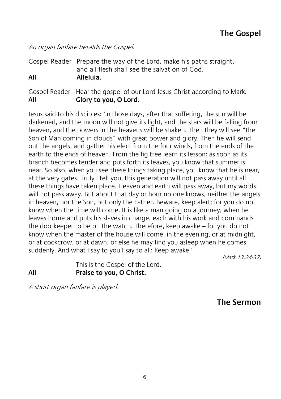An organ fanfare heralds the Gospel.

Gospel Reader Prepare the way of the Lord, make his paths straight, and all flesh shall see the salvation of God. **All Alleluia.**

Gospel Reader Hear the gospel of our Lord Jesus Christ according to Mark. **All Glory to you, O Lord.**

Jesus said to his disciples: 'In those days, after that suffering, the sun will be darkened, and the moon will not give its light, and the stars will be falling from heaven, and the powers in the heavens will be shaken. Then they will see "the Son of Man coming in clouds" with great power and glory. Then he will send out the angels, and gather his elect from the four winds, from the ends of the earth to the ends of heaven. From the fig tree learn its lesson: as soon as its branch becomes tender and puts forth its leaves, you know that summer is near. So also, when you see these things taking place, you know that he is near, at the very gates. Truly I tell you, this generation will not pass away until all these things have taken place. Heaven and earth will pass away, but my words will not pass away. But about that day or hour no one knows, neither the angels in heaven, nor the Son, but only the Father. Beware, keep alert; for you do not know when the time will come. It is like a man going on a journey, when he leaves home and puts his slaves in charge, each with his work and commands the doorkeeper to be on the watch. Therefore, keep awake – for you do not know when the master of the house will come, in the evening, or at midnight, or at cockcrow, or at dawn, or else he may find you asleep when he comes suddenly. And what I say to you I say to all: Keep awake.'

(Mark 13.24-37)

This is the Gospel of the Lord. **All Praise to you, O Christ**.

A short organ fanfare is played.

**The Sermon**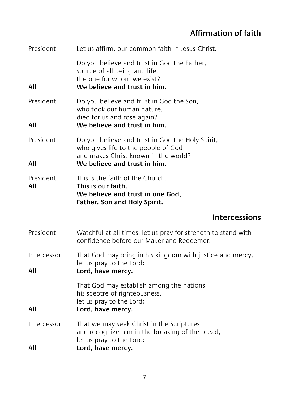#### **Affirmation of faith**

| President          | Let us affirm, our common faith in Jesus Christ.                                                                                                                |
|--------------------|-----------------------------------------------------------------------------------------------------------------------------------------------------------------|
| All                | Do you believe and trust in God the Father,<br>source of all being and life,<br>the one for whom we exist?<br>We believe and trust in him.                      |
| President<br>All   | Do you believe and trust in God the Son,<br>who took our human nature,<br>died for us and rose again?<br>We believe and trust in him.                           |
| President<br>All   | Do you believe and trust in God the Holy Spirit,<br>who gives life to the people of God<br>and makes Christ known in the world?<br>We believe and trust in him. |
| President<br>All   | This is the faith of the Church.<br>This is our faith.<br>We believe and trust in one God,<br>Father. Son and Holy Spirit.                                      |
|                    | <b>Intercessions</b>                                                                                                                                            |
| President          | Watchful at all times, let us pray for strength to stand with<br>confidence before our Maker and Redeemer.                                                      |
| Intercessor<br>All | That God may bring in his kingdom with justice and mercy,<br>let us pray to the Lord:<br>Lord, have mercy.                                                      |
| All                | That God may establish among the nations<br>his sceptre of righteousness,<br>let us pray to the Lord:<br>Lord, have mercy.                                      |
| Intercessor<br>All | That we may seek Christ in the Scriptures<br>and recognize him in the breaking of the bread,<br>let us pray to the Lord:<br>Lord, have mercy.                   |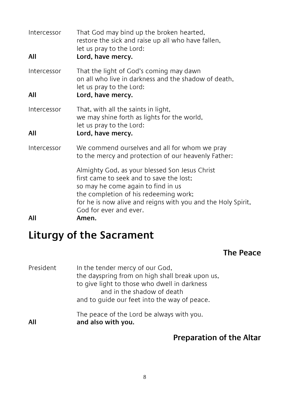| Intercessor<br>All | That God may bind up the broken hearted,<br>restore the sick and raise up all who have fallen,<br>let us pray to the Lord:<br>Lord, have mercy.                                                                                                                              |
|--------------------|------------------------------------------------------------------------------------------------------------------------------------------------------------------------------------------------------------------------------------------------------------------------------|
| Intercessor<br>All | That the light of God's coming may dawn<br>on all who live in darkness and the shadow of death,<br>let us pray to the Lord:<br>Lord, have mercy.                                                                                                                             |
| Intercessor<br>All | That, with all the saints in light,<br>we may shine forth as lights for the world,<br>let us pray to the Lord:<br>Lord, have mercy.                                                                                                                                          |
| Intercessor        | We commend ourselves and all for whom we pray<br>to the mercy and protection of our heavenly Father:                                                                                                                                                                         |
| All                | Almighty God, as your blessed Son Jesus Christ<br>first came to seek and to save the lost:<br>so may he come again to find in us<br>the completion of his redeeming work;<br>for he is now alive and reigns with you and the Holy Spirit,<br>God for ever and ever.<br>Amen. |

# **Liturgy of the Sacrament**

#### **The Peace**

| President | In the tender mercy of our God,<br>the dayspring from on high shall break upon us,<br>to give light to those who dwell in darkness<br>and in the shadow of death<br>and to quide our feet into the way of peace. |
|-----------|------------------------------------------------------------------------------------------------------------------------------------------------------------------------------------------------------------------|
| All       | The peace of the Lord be always with you.<br>and also with you.                                                                                                                                                  |

#### **Preparation of the Altar**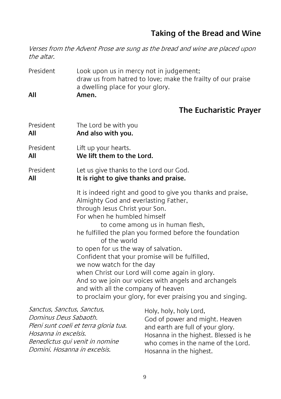#### **Taking of the Bread and Wine**

Verses from the Advent Prose are sung as the bread and wine are placed upon the altar.

President Look upon us in mercy not in judgement; draw us from hatred to love; make the frailty of our praise a dwelling place for your glory. **All Amen.**

#### **The Eucharistic Prayer**

| President        | The Lord be with you                                                                                                                                                                                                                                                                                                                                                                                                                                                                                                                                                                                                  |
|------------------|-----------------------------------------------------------------------------------------------------------------------------------------------------------------------------------------------------------------------------------------------------------------------------------------------------------------------------------------------------------------------------------------------------------------------------------------------------------------------------------------------------------------------------------------------------------------------------------------------------------------------|
| All              | And also with you.                                                                                                                                                                                                                                                                                                                                                                                                                                                                                                                                                                                                    |
| <b>President</b> | Lift up your hearts.                                                                                                                                                                                                                                                                                                                                                                                                                                                                                                                                                                                                  |
| All              | We lift them to the Lord.                                                                                                                                                                                                                                                                                                                                                                                                                                                                                                                                                                                             |
| President        | Let us give thanks to the Lord our God.                                                                                                                                                                                                                                                                                                                                                                                                                                                                                                                                                                               |
| All              | It is right to give thanks and praise.                                                                                                                                                                                                                                                                                                                                                                                                                                                                                                                                                                                |
|                  | It is indeed right and good to give you thanks and praise,<br>Almighty God and everlasting Father,<br>through Jesus Christ your Son.<br>For when he humbled himself<br>to come among us in human flesh,<br>he fulfilled the plan you formed before the foundation<br>of the world<br>to open for us the way of salvation.<br>Confident that your promise will be fulfilled,<br>we now watch for the day<br>when Christ our Lord will come again in glory.<br>And so we join our voices with angels and archangels<br>and with all the company of heaven<br>to proclaim your glory, for ever praising you and singing. |

| Sanctus, Sanctus, Sanctus,            | Holy, holy, holy Lord,                |
|---------------------------------------|---------------------------------------|
| Dominus Deus Sabaoth.                 | God of power and might. Heaven        |
| Pleni sunt coeli et terra gloria tua. | and earth are full of your glory.     |
| Hosanna in excelsis.                  | Hosanna in the highest. Blessed is he |
| Benedictus qui venit in nomine        | who comes in the name of the Lord.    |
| Domini. Hosanna in excelsis.          | Hosanna in the highest.               |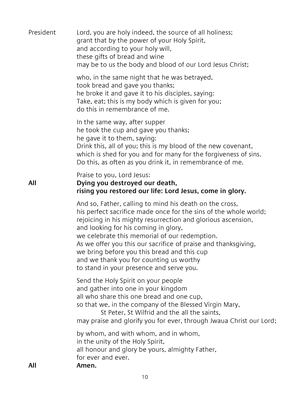| President | Lord, you are holy indeed, the source of all holiness;<br>grant that by the power of your Holy Spirit,<br>and according to your holy will,<br>these gifts of bread and wine<br>may be to us the body and blood of our Lord Jesus Christ;                                                                                                                                                                                                                                                     |
|-----------|----------------------------------------------------------------------------------------------------------------------------------------------------------------------------------------------------------------------------------------------------------------------------------------------------------------------------------------------------------------------------------------------------------------------------------------------------------------------------------------------|
|           | who, in the same night that he was betrayed,<br>took bread and gave you thanks;<br>he broke it and gave it to his disciples, saying:<br>Take, eat; this is my body which is given for you;<br>do this in remembrance of me.                                                                                                                                                                                                                                                                  |
|           | In the same way, after supper<br>he took the cup and gave you thanks;<br>he gave it to them, saying:<br>Drink this, all of you; this is my blood of the new covenant,<br>which is shed for you and for many for the forgiveness of sins.<br>Do this, as often as you drink it, in remembrance of me.                                                                                                                                                                                         |
| All       | Praise to you, Lord Jesus:<br>Dying you destroyed our death,<br>rising you restored our life: Lord Jesus, come in glory.                                                                                                                                                                                                                                                                                                                                                                     |
|           | And so, Father, calling to mind his death on the cross,<br>his perfect sacrifice made once for the sins of the whole world;<br>rejoicing in his mighty resurrection and glorious ascension,<br>and looking for his coming in glory,<br>we celebrate this memorial of our redemption.<br>As we offer you this our sacrifice of praise and thanksgiving,<br>we bring before you this bread and this cup<br>and we thank you for counting us worthy<br>to stand in your presence and serve you. |
|           | Send the Holy Spirit on your people<br>and gather into one in your kingdom<br>all who share this one bread and one cup,<br>so that we, in the company of the Blessed Virgin Mary,<br>St Peter, St Wilfrid and the all the saints,<br>may praise and glorify you for ever, through Jwaua Christ our Lord;                                                                                                                                                                                     |
| All       | by whom, and with whom, and in whom,<br>in the unity of the Holy Spirit,<br>all honour and glory be yours, almighty Father,<br>for ever and ever.<br>Amen.                                                                                                                                                                                                                                                                                                                                   |
|           |                                                                                                                                                                                                                                                                                                                                                                                                                                                                                              |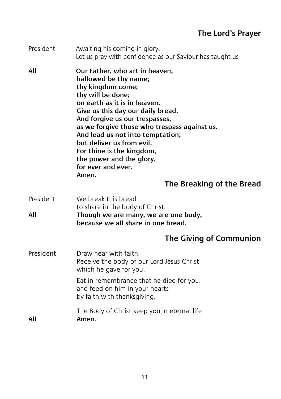#### **The Lord's Prayer**

| President | Awaiting his coming in glory,<br>Let us pray with confidence as our Saviour has taught us                                                                                                                                                                                                                                                                                                                                                      |
|-----------|------------------------------------------------------------------------------------------------------------------------------------------------------------------------------------------------------------------------------------------------------------------------------------------------------------------------------------------------------------------------------------------------------------------------------------------------|
| All       | Our Father, who art in heaven,<br>hallowed be thy name;<br>thy kingdom come;<br>thy will be done;<br>on earth as it is in heaven.<br>Give us this day our daily bread.<br>And forgive us our trespasses,<br>as we forgive those who trespass against us.<br>And lead us not into temptation;<br>but deliver us from evil.<br>For thine is the kingdom,<br>the power and the glory,<br>for ever and ever.<br>Amen.<br>The Breaking of the Bread |
| President | We break this bread                                                                                                                                                                                                                                                                                                                                                                                                                            |
| All       | to share in the body of Christ.<br>Though we are many, we are one body,<br>because we all share in one bread.                                                                                                                                                                                                                                                                                                                                  |
|           | The Giving of Communion                                                                                                                                                                                                                                                                                                                                                                                                                        |
| President | Draw near with faith.<br>Receive the body of our Lord Jesus Christ<br>which he gave for you,                                                                                                                                                                                                                                                                                                                                                   |
|           | Eat in remembrance that he died for you,<br>and feed on him in your hearts<br>by faith with thanksgiving.                                                                                                                                                                                                                                                                                                                                      |
| All       | The Body of Christ keep you in eternal life<br>Amen.                                                                                                                                                                                                                                                                                                                                                                                           |